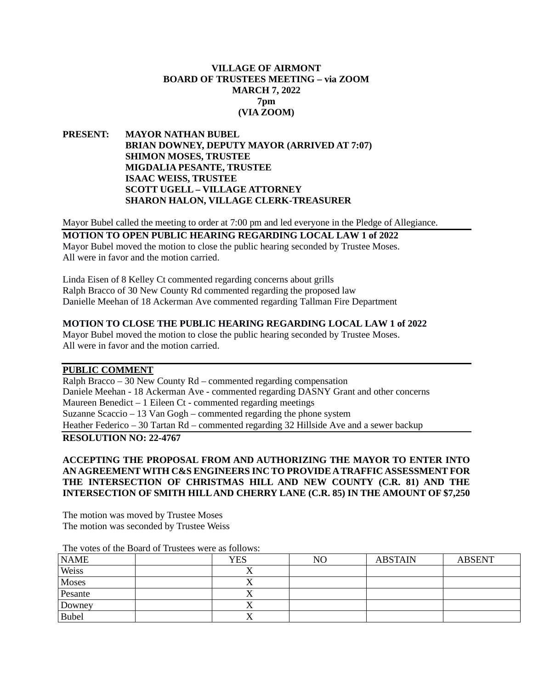# **VILLAGE OF AIRMONT BOARD OF TRUSTEES MEETING – via ZOOM MARCH 7, 2022 7pm (VIA ZOOM)**

# **PRESENT: MAYOR NATHAN BUBEL BRIAN DOWNEY, DEPUTY MAYOR (ARRIVED AT 7:07) SHIMON MOSES, TRUSTEE MIGDALIA PESANTE, TRUSTEE ISAAC WEISS, TRUSTEE SCOTT UGELL – VILLAGE ATTORNEY SHARON HALON, VILLAGE CLERK-TREASURER**

Mayor Bubel called the meeting to order at 7:00 pm and led everyone in the Pledge of Allegiance.

# **MOTION TO OPEN PUBLIC HEARING REGARDING LOCAL LAW 1 of 2022**

Mayor Bubel moved the motion to close the public hearing seconded by Trustee Moses. All were in favor and the motion carried.

Linda Eisen of 8 Kelley Ct commented regarding concerns about grills Ralph Bracco of 30 New County Rd commented regarding the proposed law Danielle Meehan of 18 Ackerman Ave commented regarding Tallman Fire Department

#### **MOTION TO CLOSE THE PUBLIC HEARING REGARDING LOCAL LAW 1 of 2022**

Mayor Bubel moved the motion to close the public hearing seconded by Trustee Moses. All were in favor and the motion carried.

#### **PUBLIC COMMENT**

Ralph Bracco – 30 New County Rd – commented regarding compensation Daniele Meehan - 18 Ackerman Ave - commented regarding DASNY Grant and other concerns Maureen Benedict – 1 Eileen Ct - commented regarding meetings Suzanne Scaccio – 13 Van Gogh – commented regarding the phone system Heather Federico – 30 Tartan Rd – commented regarding 32 Hillside Ave and a sewer backup

**RESOLUTION NO: 22-4767**

**ACCEPTING THE PROPOSAL FROM AND AUTHORIZING THE MAYOR TO ENTER INTO AN AGREEMENT WITH C&S ENGINEERS INC TO PROVIDE A TRAFFIC ASSESSMENT FOR THE INTERSECTION OF CHRISTMAS HILL AND NEW COUNTY (C.R. 81) AND THE INTERSECTION OF SMITH HILL AND CHERRY LANE (C.R. 85) IN THE AMOUNT OF \$7,250**

The motion was moved by Trustee Moses The motion was seconded by Trustee Weiss

| <b>NAME</b>  | <b>YES</b> | NO | <b>ABSTAIN</b> | <b>ABSENT</b> |
|--------------|------------|----|----------------|---------------|
| Weiss        |            |    |                |               |
| Moses        |            |    |                |               |
| Pesante      |            |    |                |               |
| Downey       |            |    |                |               |
| <b>Bubel</b> | 2 Y        |    |                |               |

The votes of the Board of Trustees were as follows: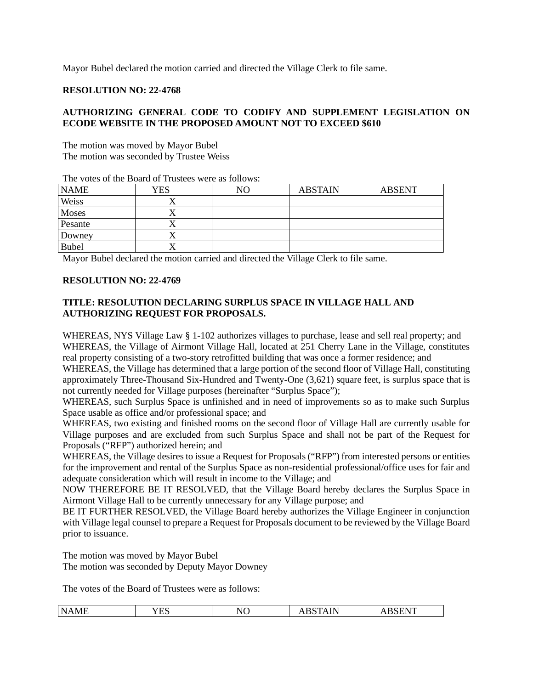Mayor Bubel declared the motion carried and directed the Village Clerk to file same.

#### **RESOLUTION NO: 22-4768**

# **AUTHORIZING GENERAL CODE TO CODIFY AND SUPPLEMENT LEGISLATION ON ECODE WEBSITE IN THE PROPOSED AMOUNT NOT TO EXCEED \$610**

The motion was moved by Mayor Bubel The motion was seconded by Trustee Weiss

| THE VOILS OF THE DOTTE OF THISKELS WELL AS TOHOWS. |     |    |                |               |  |
|----------------------------------------------------|-----|----|----------------|---------------|--|
| <b>NAME</b>                                        | YES | NΟ | <b>ABSTAIN</b> | <b>ABSENT</b> |  |
| Weiss                                              |     |    |                |               |  |
| Moses                                              |     |    |                |               |  |
| Pesante                                            |     |    |                |               |  |
| Downey                                             |     |    |                |               |  |
| <b>Bubel</b>                                       |     |    |                |               |  |
|                                                    |     |    |                |               |  |

The votes of the Board of Trustees were as follows:

Mayor Bubel declared the motion carried and directed the Village Clerk to file same.

#### **RESOLUTION NO: 22-4769**

## **TITLE: RESOLUTION DECLARING SURPLUS SPACE IN VILLAGE HALL AND AUTHORIZING REQUEST FOR PROPOSALS.**

WHEREAS, NYS Village Law § 1-102 authorizes villages to purchase, lease and sell real property; and WHEREAS, the Village of Airmont Village Hall, located at 251 Cherry Lane in the Village, constitutes real property consisting of a two-story retrofitted building that was once a former residence; and

WHEREAS, the Village has determined that a large portion of the second floor of Village Hall, constituting approximately Three-Thousand Six-Hundred and Twenty-One (3,621) square feet, is surplus space that is not currently needed for Village purposes (hereinafter "Surplus Space");

WHEREAS, such Surplus Space is unfinished and in need of improvements so as to make such Surplus Space usable as office and/or professional space; and

WHEREAS, two existing and finished rooms on the second floor of Village Hall are currently usable for Village purposes and are excluded from such Surplus Space and shall not be part of the Request for Proposals ("RFP") authorized herein; and

WHEREAS, the Village desires to issue a Request for Proposals ("RFP") from interested persons or entities for the improvement and rental of the Surplus Space as non-residential professional/office uses for fair and adequate consideration which will result in income to the Village; and

NOW THEREFORE BE IT RESOLVED, that the Village Board hereby declares the Surplus Space in Airmont Village Hall to be currently unnecessary for any Village purpose; and

BE IT FURTHER RESOLVED, the Village Board hereby authorizes the Village Engineer in conjunction with Village legal counsel to prepare a Request for Proposals document to be reviewed by the Village Board prior to issuance.

The motion was moved by Mayor Bubel The motion was seconded by Deputy Mayor Downey

The votes of the Board of Trustees were as follows:

| <b>NAME</b> | VFS<br>⊥∟∪ | N <sup>C</sup><br>◡<br>. .<br>- - - | <b>STAIN</b><br>,<br>2 2 D U | R <sub>4</sub><br>71 DULINI |
|-------------|------------|-------------------------------------|------------------------------|-----------------------------|
|-------------|------------|-------------------------------------|------------------------------|-----------------------------|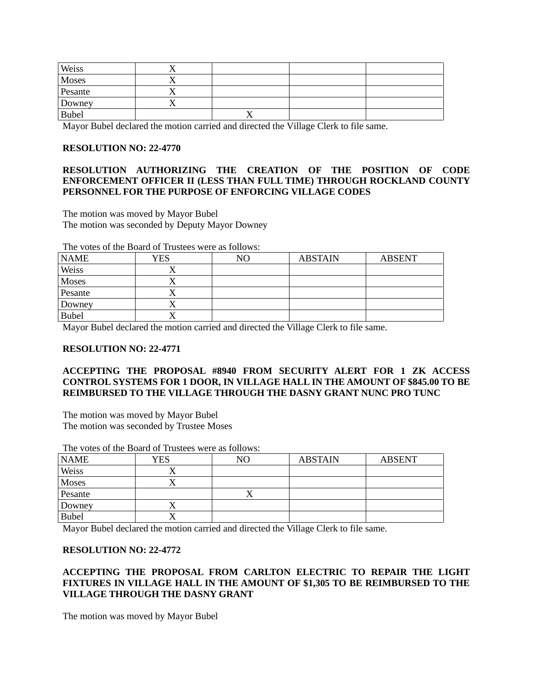| Weiss        |  |  |
|--------------|--|--|
| Moses        |  |  |
| Pesante      |  |  |
| Downey       |  |  |
| <b>Bubel</b> |  |  |

Mayor Bubel declared the motion carried and directed the Village Clerk to file same.

## **RESOLUTION NO: 22-4770**

# **RESOLUTION AUTHORIZING THE CREATION OF THE POSITION OF CODE ENFORCEMENT OFFICER II (LESS THAN FULL TIME) THROUGH ROCKLAND COUNTY PERSONNEL FOR THE PURPOSE OF ENFORCING VILLAGE CODES**

The motion was moved by Mayor Bubel The motion was seconded by Deputy Mayor Downey

The votes of the Board of Trustees were as follows:

| <b>NAME</b>  | <b>YES</b> | NO | <b>ABSTAIN</b> | <b>ABSENT</b> |
|--------------|------------|----|----------------|---------------|
| Weiss        |            |    |                |               |
| Moses        |            |    |                |               |
| Pesante      |            |    |                |               |
| Downey       |            |    |                |               |
| <b>Bubel</b> |            |    |                |               |

Mayor Bubel declared the motion carried and directed the Village Clerk to file same.

## **RESOLUTION NO: 22-4771**

## **ACCEPTING THE PROPOSAL #8940 FROM SECURITY ALERT FOR 1 ZK ACCESS CONTROL SYSTEMS FOR 1 DOOR, IN VILLAGE HALL IN THE AMOUNT OF \$845.00 TO BE REIMBURSED TO THE VILLAGE THROUGH THE DASNY GRANT NUNC PRO TUNC**

The motion was moved by Mayor Bubel The motion was seconded by Trustee Moses

| THE VOICS OF THE DOMET OF THUSICES WELL US FOILOWS. |     |    |                |               |  |  |
|-----------------------------------------------------|-----|----|----------------|---------------|--|--|
| <b>NAME</b>                                         | YES | NO | <b>ABSTAIN</b> | <b>ABSENT</b> |  |  |
| Weiss                                               |     |    |                |               |  |  |
| <b>Moses</b>                                        | ↗   |    |                |               |  |  |
| Pesante                                             |     |    |                |               |  |  |
| Downey                                              |     |    |                |               |  |  |
| <b>Bubel</b>                                        |     |    |                |               |  |  |

The votes of the Board of Trustees were as follows:

Mayor Bubel declared the motion carried and directed the Village Clerk to file same.

### **RESOLUTION NO: 22-4772**

# **ACCEPTING THE PROPOSAL FROM CARLTON ELECTRIC TO REPAIR THE LIGHT FIXTURES IN VILLAGE HALL IN THE AMOUNT OF \$1,305 TO BE REIMBURSED TO THE VILLAGE THROUGH THE DASNY GRANT**

The motion was moved by Mayor Bubel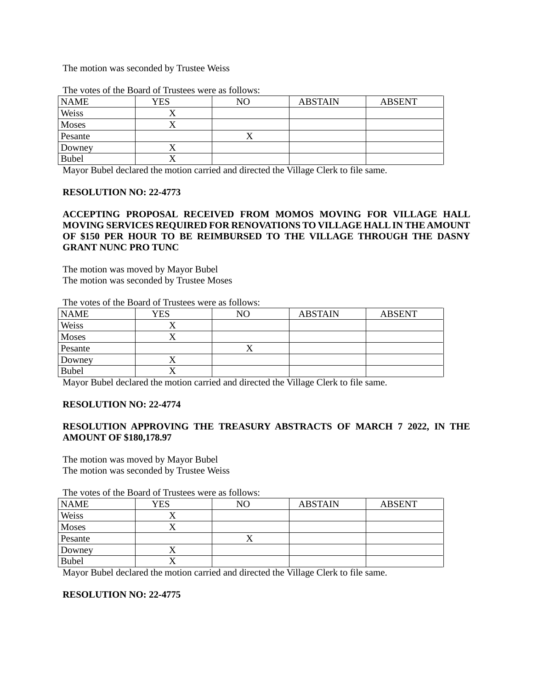The motion was seconded by Trustee Weiss

| <b>NAME</b>  | YES | NO | <b>ABSTAIN</b> | <b>ABSENT</b> |
|--------------|-----|----|----------------|---------------|
| Weiss        |     |    |                |               |
| Moses        |     |    |                |               |
| Pesante      |     |    |                |               |
| Downey       |     |    |                |               |
| <b>Bubel</b> |     |    |                |               |

The votes of the Board of Trustees were as follows:

Mayor Bubel declared the motion carried and directed the Village Clerk to file same.

#### **RESOLUTION NO: 22-4773**

## **ACCEPTING PROPOSAL RECEIVED FROM MOMOS MOVING FOR VILLAGE HALL MOVING SERVICES REQUIRED FOR RENOVATIONS TO VILLAGE HALL IN THE AMOUNT OF \$150 PER HOUR TO BE REIMBURSED TO THE VILLAGE THROUGH THE DASNY GRANT NUNC PRO TUNC**

The motion was moved by Mayor Bubel The motion was seconded by Trustee Moses

| THE VOILS OF THE DOTTE OF THISKELS WELL AS TOHOWS. |     |    |                |               |  |  |
|----------------------------------------------------|-----|----|----------------|---------------|--|--|
| <b>NAME</b>                                        | YES | NΟ | <b>ABSTAIN</b> | <b>ABSENT</b> |  |  |
| Weiss                                              |     |    |                |               |  |  |
| Moses                                              |     |    |                |               |  |  |
| Pesante                                            |     |    |                |               |  |  |
| Downey                                             |     |    |                |               |  |  |
| <b>Bubel</b>                                       |     |    |                |               |  |  |

The votes of the Board of Trustees were as follows:

Mayor Bubel declared the motion carried and directed the Village Clerk to file same.

## **RESOLUTION NO: 22-4774**

# **RESOLUTION APPROVING THE TREASURY ABSTRACTS OF MARCH 7 2022, IN THE AMOUNT OF \$180,178.97**

The motion was moved by Mayor Bubel The motion was seconded by Trustee Weiss

The votes of the Board of Trustees were as follows:

| <b>NAME</b>  | <b>YES</b> | N <sub>O</sub> | <b>ABSTAIN</b> | <b>ABSENT</b> |
|--------------|------------|----------------|----------------|---------------|
| Weiss        | 77         |                |                |               |
| Moses        |            |                |                |               |
| Pesante      |            |                |                |               |
| Downey       |            |                |                |               |
| <b>Bubel</b> | ∡          |                |                |               |

Mayor Bubel declared the motion carried and directed the Village Clerk to file same.

#### **RESOLUTION NO: 22-4775**